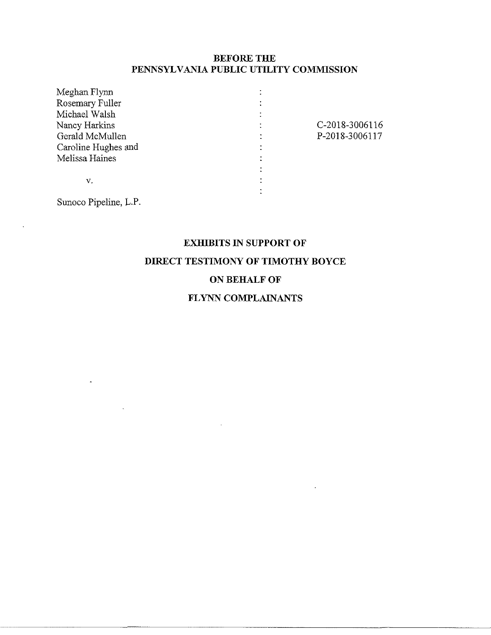### **BEFORE THE PENNSYLVANIA PUBLIC UTILITY COMMISSION**

| Meghan Flynn          |                |
|-----------------------|----------------|
| Rosemary Fuller       |                |
| Michael Walsh         |                |
| Nancy Harkins         | C-2018-3006116 |
| Gerald McMullen       | P-2018-3006117 |
| Caroline Hughes and   |                |
| Melissa Haines        |                |
|                       |                |
| V.                    |                |
|                       |                |
| Sunoco Pipeline, L.P. |                |
|                       |                |

# **EXHIBITS IN SUPPORT OF**

# **DIRECT TESTIMONY OF TIMOTHY BOYCE**

## **ON BEHALF OF**

## **FLYNN COMPLAINANTS**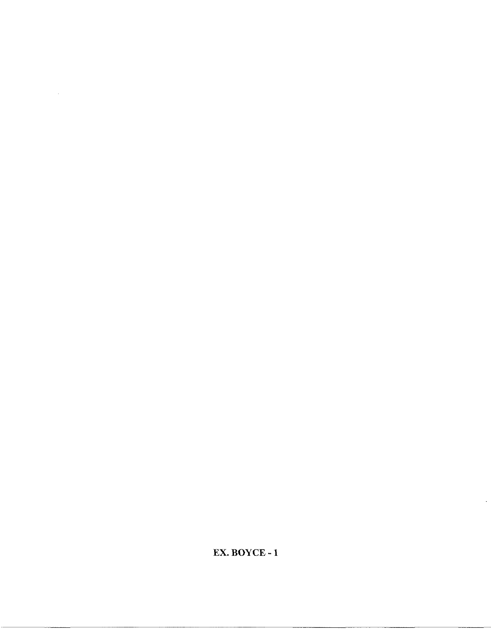**EX. BOYCE -1**

 $\ddot{\phantom{a}}$ 

 $\sim$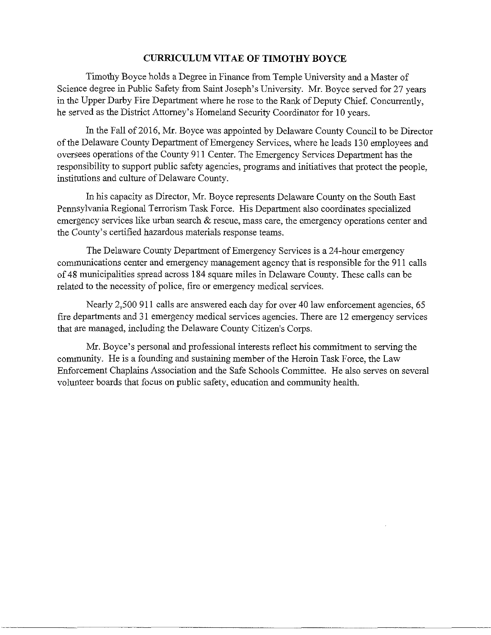### **CURRICULUM VITAE OF TIMOTHY BOYCE**

Timothy Boyce holds a Degree in Finance from Temple University and a Master of Science degree in Public Safety from Saint Joseph's University. Mr. Boyce served for 27 years in the Upper Darby Fire Department where he rose to the Rank of Deputy Chief. Concurrently, he served as the District Attorney's Homeland Security Coordinator for 10 years.

In the Fall of 2016, Mr. Boyce was appointed by Delaware County Council to be Director of the Delaware County Department of Emergency Services, where he leads 130 employees and oversees operations of the County 911 Center. The Emergency Services Department has the responsibility to support public safety agencies, programs and initiatives that protect the people, institutions and culture of Delaware County.

In his capacity as Director, Mr. Boyce represents Delaware County on the South East Pennsylvania Regional Terrorism Task Force. His Department also coordinates specialized emergency services like urban search  $\&$  rescue, mass care, the emergency operations center and the County's certified hazardous materials response teams.

The Delaware County Department of Emergency Services is a 24-hour emergency communications center and emergency management agency that is responsible for the 911 calls of48 municipalities spread across 184 square miles in Delaware County. These calls can be related to the necessity of police, fire or emergency medical services.

Nearly 2,500 911 calls are answered each day for over 40 law enforcement agencies, 65 fire departments and 31 emergency medical services agencies. There are 12 emergency services that are managed, including the Delaware County Citizen's Corps.

Mr. Boyce's personal and professional interests reflect his commitment to serving the community. He is a founding and sustaining member of the Heroin Task Force, the Law Enforcement Chaplains Association and the Safe Schools Committee. He also serves on several volunteer boards that focus on public safety, education and community health.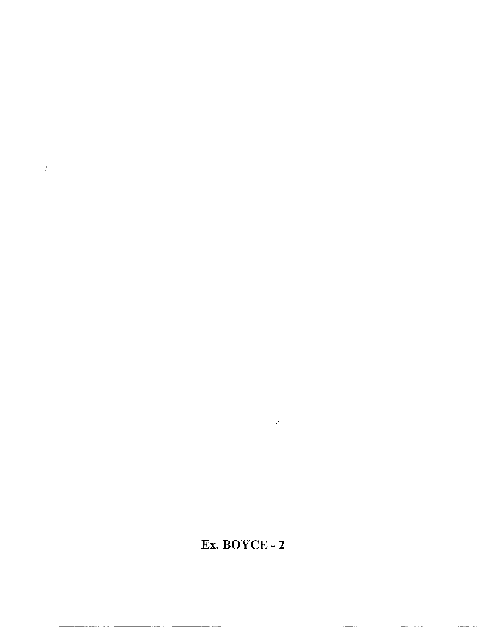# **Ex. BOYCE - 2**

 $\mathcal{L}^{\text{max}}_{\text{max}}$ 

 $\sim 10^{-1}$ 

 $\bar{L}$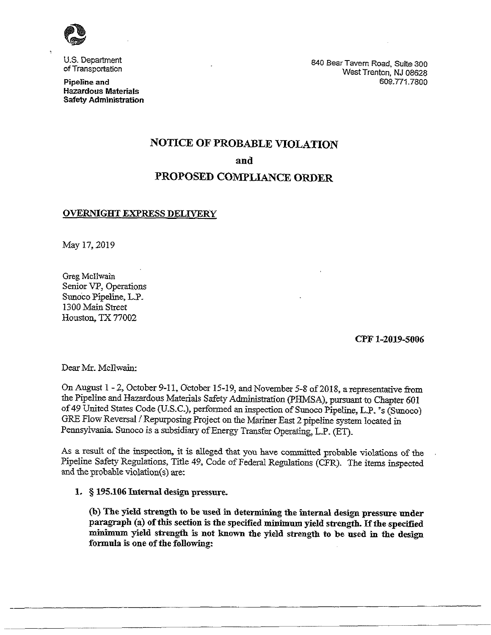

U.S. Department of Transportation

**Pipeline and Hazardous Materials Safety Administration** 840 BearTavern Road, Suite 300 West Trenton, NJ 08628 609.771.7800

# **NOTICE OF PROBABLE VIOLATION and**

# **PROPOSED COMPLIANCE ORDER**

### **OVERNIGHT EXPRESS DELIVERY**

May 17,2019

Greg McIlwain Senior VP, Operations Sunoco Pipeline, L.P. 1300 Main Street Houston, TX 77002

**CPF 1-2019-5006**

DearMr. McIlwain:

On August 1-2, October 9-11, October 15-19, and November 5-8 of 2018, a representative from the Pipeline and Hazardous Materials Safety Administration (PHMSA), pursuant to Chapter 601 of 49 United States Code (U.S.C.), performed an inspection of Sunoco Pipeline, L.P. 's (Sunoco) GRE Flow Reversal / Repurposing Project on the Mariner East 2 pipeline system located in Pennsylvania. Sunoco is a subsidiary of Energy Transfer Operating, L.P. (ET).

As a result of the inspection, it is alleged that you have committed probable violations of the Pipeline Safety Regulations, Title 49, Code of Federal Regulations (CFR). The items inspected and the probable violation(s) are:

#### **L § 195.106 Internal design pressure.**

**(b) The yield strength to be used in determining the internal design pressure under paragraph (a) ofthis section is the specified minimum yield strength. Ifthe specified minimum yield strength is not known the yield strength to be used in the design formula is one ofthe following:**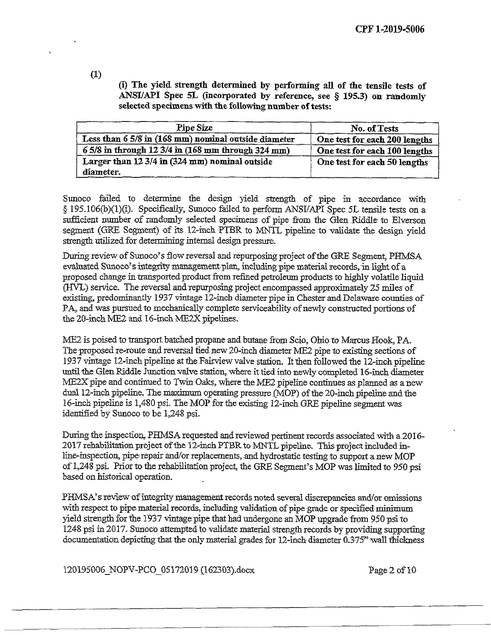**(i) The yield, strength determined by performing all of the tensile tests of ANSI/API Spec 5L (incorporated by reference, see § 195.3) on randomly selected specimenswith the followingnumber oftests:**

| <b>Pipe Size</b>                                            | No. of Tests                  |  |
|-------------------------------------------------------------|-------------------------------|--|
| Less than 6 5/8 in (168 mm) nominal outside diameter        | One test for each 200 lengths |  |
| 6 5/8 in through 12 3/4 in (168 mm through 324 mm)          | One test for each 100 lengths |  |
| Larger than 12 3/4 in (324 mm) nominal outside<br>diameter. | One test for each 50 lengths  |  |

Sunoco failed to determine the design yield strength of pipe in accordance with § 195.106(b)(l)(i). Specifically, Sunoco failed to perform ANSI/API Spec 5L tensile tests on a sufficient number of randomly selected specimens of pipe from the Glen Riddle to Elverson segment (GRE Segment) of its 12-inch PTBR to MNTL pipeline to validate the design yield strength utilized for determining internal design pressure.

During review of Sunoco's flow reversal and repurposing project of the GRE Segment, PHMSA evaluated Sunoco's integrity management-plan, including pipe material records, in light of a proposed change in transported product from refined petroleum products to highly volatile liquid (HVL) service. The reversal andrepurposing project encompassed approximately 25 miles of existing, predominantly 1937 vintage 12-inch diameter pipe in Chester and Delaware counties of PA, and was pursued to mechanically complete serviceability of newly constructed portions of the 20-inch ME2 and 16-inch ME2X pipelines.

ME2 is poised to transport batched propane and butane from Scio, Ohio to Marcus Hook, PA. The proposed re-route and reversal tied new 20-inch diameter ME2 pipe to existing sections of 1937 vintage 12-inch pipeline at the Fairview valve station. It then followed the 12-inch pipeline until the Glen Riddle Junction valve station, where it tied into newly completed 16-inch diameter ME2X pipe and continued to Twin Oaks, where the ME2 pipeline continues as planned as a new dual 12-inch pipeline. The maximum operating pressure .(MOP) of the 20-inch pipeline and the Id-inch pipeline is 1,480 psi. The MOP forthe existing 12-inch GRE pipeline segment was identified by Sunoco to be 1,248 psi.

During the inspection, PHMSA requested and reviewed pertinent records associated with a 2016-2017 rehabilitation project of the 12-inch PTBR to MNTL pipeline. This project included inline-inspection, pipe-repair and/or replacements, and hydrostatic testing to support a new MOP of 1,248 psi. Priorto the rehabilitation project, the GRE Segment's MOP was limited to 950 psi based on historical operation.

PHMSA's review of integrity management records noted several discrepancies and/or omissions with respect to pipe material records, including validation of pipe grade or specified minimum yield strength for the 1937 vintage pipe that had undergone an MOP upgrade from 950 psi to 1248 psi in 2017. Sunoco attempted to validatematerial strength records by providing supporting documentation depicting that the only material grades for  $12$ -inch diameter  $0.375$ " wall thickness

120195006 NOPV-PCO 05172019 (162303).docx Page 2 of 10

(1)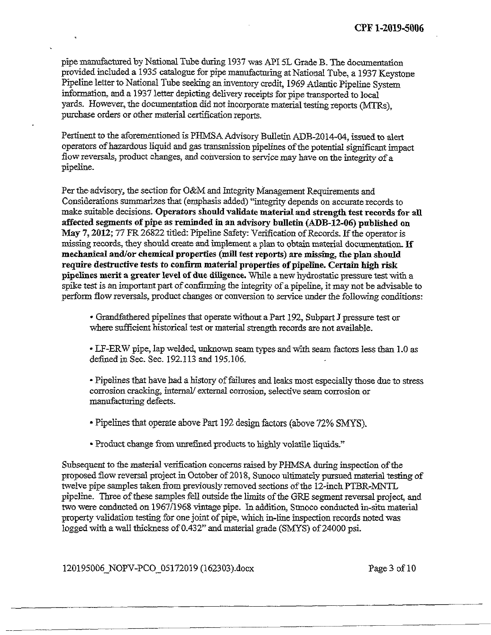Pipeline letter to National Tube seeking an inventory credit, 1969 Atlantic Pipeline System pipe manufactured by National Tube during 1937 was API 5L Grade B. The documentation provided included a 1935 catalogue for pipe manufacturing at National Tube, a 1937 Keystone information, and a 1937 letter depicting delivery receipts for pipe transported to local yards. However, the documentation did not incorporate material testing reports (MTRs), purchase orders or other material certification reports.

Pertinent to the aforementioned is PHMSA Advisory Bulletin ADB-2014-04, issued to alert operators of hazardous liquid and gas transmission pipelines of the potential significant impact flow reversals, product changes, and conversion to service may have on the integrity of a pipeline.

Per the advisory, the section for O&M and Integrity Management Requirements and Considerations summarizesthat (emphasis added) "integrity depends on accurate records to make suitable decisions. **Operators should validate materialand strength test recordsfor all affected segments ofpipe as reminded in an advisory bulletin (ADB-12-06) published on** May 7, 2012; 77 FR 26822 titled: Pipeline Safety: Verification of Records. If the operator is missing records, they should create and implement aplanto obtain material documentation.**If mechanical and/or chemical properties (mill test reports) are missing, the plan should require destructive tests to confirm material properties ofpipetine. Certain high risk pipelines merit a greater level of due diligence.** While a newhydrostatic pressure testwith a spike test is an important part of confirming the integrity of a pipeline, it may not be advisable to perform flow reversals, product changes or conversion to service under the following conditions:

• Grandfathered pipelines that operate without a Part 192, Subpart J pressure test or where sufficient historical test or material strength records are not available.

• LF-ERW pipe, lap welded, unknown seam types and with seam factors lessthan 1.0 as defined in Sec. Sec. 192.113 and 195.106.

• Pipelines that have had a history offailures and leaks most especially those due to stress corrosion cracking, internal/ external corrosion, selective seam corrosion or manufacturing defects.

- Pipelines that operate above Part 192 design factors (above 72% SMYS).
- Product change from unrefined products to highly volatile liquids."

Subsequent to the material verification concerns raised by PHMSA during inspection of the proposed flow reversal project in October of 2018, Sunoco ultimately pursued material testing of twelve pipe samples taken from previously removed sections of the 12-inch PTBR-MNTL pipeline. Three of these samples fell outside the limits of the GRE segment reversal project, and two were conducted on 1967/1968 vintage pipe. In addition, Sunoco conducted in-situ material property validation testing for one joint of pipe, which in-line inspection records noted was logged with a wall thickness of 0.432" and material grade (SMYS) of 24000 psi.

120195006\_NOPV-PCO\_05172019 (162303).docx Page 3 of 10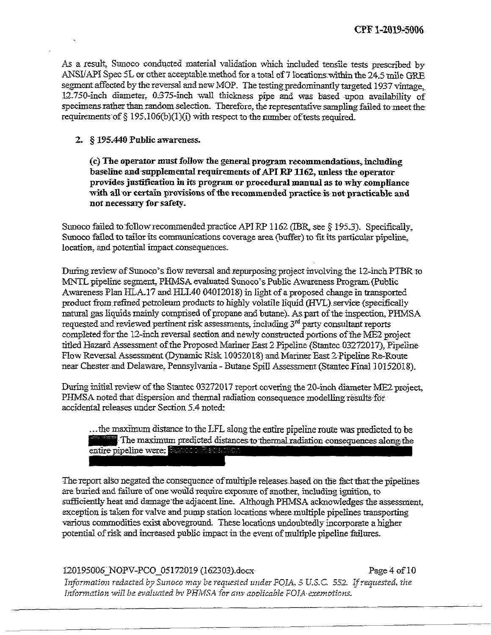As a result. Sunoco conducted material validation which included tensile tests prescribed by ANSI/API Spec 5L or other acceptable method for a total of 7 locations within the 24.5 mile GRE segment affected by the reversal and new MOP. The testing predominantly targeted 1937 vintage. 12.750-inch diameter, 0375-inch wall thickness pipe and was based upon availability of specimens rather than random selection. Therefore, the representative sampling failed to meet the requirements of  $\S$  195.106(b)(1)(i) with respect to the number of tests required.

### **2. § 195^440 Public awareness.**

**(c) The operatormustfollow the generalprogram recommendations,including baseline and supplemental requirements ofAPI RP1162, unless the operator providesjustification in its program or procedural manual as to why compliance with all or certain provisions ofthe recommended practice is not practicable and not necessaay for safety.**

Sunoco failed to follow recommended practice API RP 1162 (IBR, see  $\S$  195.3). Specifically, Sunoco failed to tailor its communications coverage area (buffer) to fit its particular pipeline, location, and potential impact consequences.

During review of Sunoco's flow reversal and repurposing project involving the 12-inch PTBR to MNTL pipeline segment. PHMSA evaluated Sunoco's Public Awareness Program (Public Awareness Plan HLA.17 and HLI.40 04012018) in light of a proposed change in transported product from refined petroleum products to highly volatile liquid (HVL) service (specifically natural gas liquids mainly comprised of propane and butane). As part of the inspection, PHMSA requested and reviewed pertinent risk assessments, including  $3<sup>rd</sup>$  party consultant reports completed forthe 12-inch reversal section and newly constructed portions of'the ME2 project titled Hazard Assessment of the Proposed Mariner East 2 Pipeline (Stantec 03272017), Pipeline Flow Reversal Assessment (Dynamic Risk 10052018) and Mariner East 2 Pipeline Re-Route near Chester and Delaware, Pennsylvania - Butane Spill Assessment(StantecFinal 10152018).

During initial review of the Stantec 03272017 report covering the 20-inch diameter ME2 project. PHMSA noted that dispersion and thermal radiation consequence modelling results for accidental releases under Section 5.4 noted:

...the maximum distance to the LFL along the entire pipeline route was predicted to be<br>
The maximum predicted distances to thermal radiation consequences along the<br>
entire pipeline were: Survey Medicine The maximum predicted distances to thermal radiation consequences along the

The report also negated the consequence of multiple releases based on the fact that the pipelines are buried and failure of one would require exposure of another, including ignition, to sufficiently heat and damage the adjacent line. Although PHMSA acknowledges the assessment, exception istaken for valve and pump station locations where multiple pipelines transporting various commodities exist aboveground. These locations undoubtedly incorporate a higher potential of risk and increased public impact in the event of multiple pipeline failures.

120195006 NOPV-PCO 05172019 (162303),docx Page 4 of 10

*Information redacted by Sunoco may be requested under POIA, 5 U.S.C. 552. If requested, the mformatiGn will be evaluated bv PHMSA far auv aadlicab'le FOIA-exetnotions.*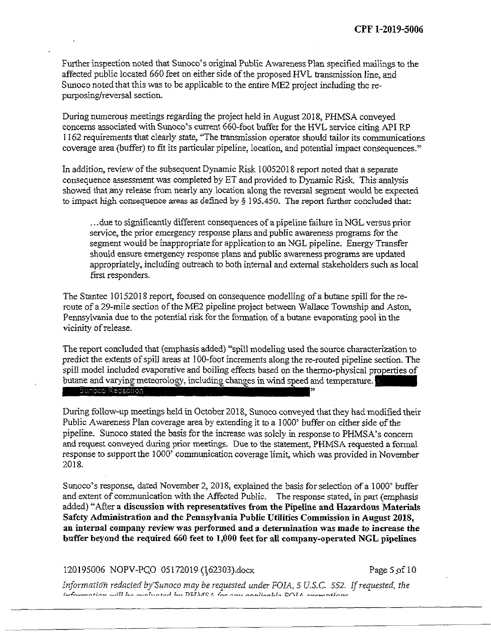Furtherinspection noted that Sunoco's original Public Awareness Plan specified mailings to the affected public located 660 feet on either side of the proposed HVL transmission line, and Sunoco noted that this was to be applicable to the entire ME2 project including the repurposing/reversal section.

During numerous meetings regarding the project held in August 2018. PHMSA conveyed concerns associated with Sunoco's current 660-foot buffer for the HVL service citing API RP 1162 requirements that clearly state, "The transmission operator should tailor its communications coverage area (buffer) to fit its particular pipeline, location, and potential impact consequences."

In addition, review of the subsequent Dynamic Risk 10052018 report noted that a separate consequence assessment was completed by ET and provided to Dynamic Risk. This analysis showed that any release from nearly any location along the reversal segment would be expected to impact high consequence areas as defined by  $\S$  195.450. The report further concluded that:

...due to significantly different consequences of a pipeline failure in NGL versus prior service, the prior emergency response plans and public awareness programs for the segment would be inappropriate for application to an NGL pipeline. Energy Transfer should ensure emergency response plans and public awareness programs are updated appropriately, including outreach to both internal and external stakeholders such as local first responders.

The Stantec 10152018 report, focused on consequence modelling of a butane spill for the reroute of a 29-mile section of the ME2 pipeline project between Wallace Township and Aston, Pennsylvania due to the potential risk forthe formation of a butane evaporating pool in the vicinity ofrelease.

The report concluded that (emphasis added) "spill modeling used the source characterization to predict the extents ofspill areas at 100-foot increments along the re-routed pipeline section. The spill model included evaporative and boiling effects based on the thermo-physical properties of butane and varying meteorology, including changes in wind speed and temperature. Suncee Resaction

During follow-up meetings held in October 2018, Sunoco conveyed that they had modified their Public Awareness Plan coverage area by extending it to a 1000' buffer on either side of the pipeline. Sunoco stated the basis for the increase was solely in response to PHMSA's concern and request conveyed during prior meetings. Due to the statement, PHMSA requested a formal response to support the 1000' communication coverage limit, which was provided in November 2018.

Sunoco's response, dated November 2, 2018, explained the basis for selection of a 1000° buffer and extent of communication with the Affected Public. The response stated, in part (emphasis added)44After **a discussion with representatives from the Pipeline and Hazardous Materials Safety Administration and the Pennsylvania Public Utilities Commission in August 2018, an internal company review was performed and a determination was made to increase the buffer beyond the required 660 feet to 1,000 feet for all company-operated NGL pipelines**

120195006 NOPV-PCO 05172019 (162303).docx Page 5 of 10

*Information redacted by~Sunoco may be requested under FOIA., 5 U.S.C. 552. Ifrequested, the*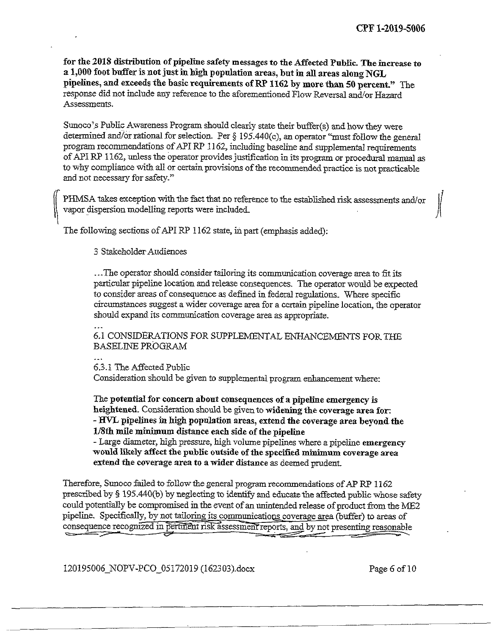7

/

**for the 2018 distribution ofpipeline safety messages to the AffectedPublic. The increase to a 1,000 foot buffer is notjustin high population areas, but in ah areas along NGL pipelines, and exceeds the basic requirements ofRP 1162 by more than 50 percent."** The response did not include any reference to the aforementioned Flow Reversal and/or Hazard Assessments.

Sunoco's Public Awareness Program should clearly state their buffer(s) and howthey were determined and/or rational for selection. Per  $\S$  195.440(c), an operator "must follow the general program recommendations of API RP 1162, including baseline and supplemental requirements of API RP 1162, unless the operator provides justification in its program or procedural manual as to why compliance with all or certain provisions of the recommended practice is not practicable and not necessary for safety."

PHMSA takes exception with the fact that no reference to the established risk assessments and/or vapor dispersion modellmg reports were included.

The following sections of API RP 1162 state, in part (emphasis added):

3 StakeholderAudiences

...The operator should consider tailoring its communication coverage area to fit its particular pipeline location and release consequences. The operator would be expected to consider areas of consequence as defined in federal regulations. Where specific circumstances suggest a wider coverage area for a certain pipeline location, the operator should expand its communication coverage area as appropriate.

6.1 CONSIDERATIONS FOR SUPPLEMENTAL ENHANCEMENTS FORTHE BASELINE PROGRAM

 $\ddot{\phantom{a}}$ 

*tr*

6.3.1 The Affected Public Consideration should be given to supplemental program enhancement where:

The **potential for concern about consequences of a pipeline emergency is heightened.** Consideration should be given to **widening the coverage area for: - HVL pipelines in high population areas, extend the coverage area beyond the l/Sth mile minimum distance each side ofthe pipeline**

- Large diameter, high pressure, high volume pipelines where a pipeline **emergency would likely affectthe public outside ofthe specified minimum coverage area extend the coverage area to awider distance** as deemed prudent.

Therefore, Sunoco failed to follow the general program recommendations of AP RP 1162 prescribed by § 195.440(b) by neglecting to identify and educate the affected public whose safety could potentially be compromised in the event of an unintended release of product from the ME2 pipeline. Specifically, by not tailoring its communications coverage area (buffer) to areas of consequence recognized in pertinent risk assessment reports, and by not presenting reasonable

120195006\_NOPV-PCO\_05172019 (162303).docx Page 6 of 10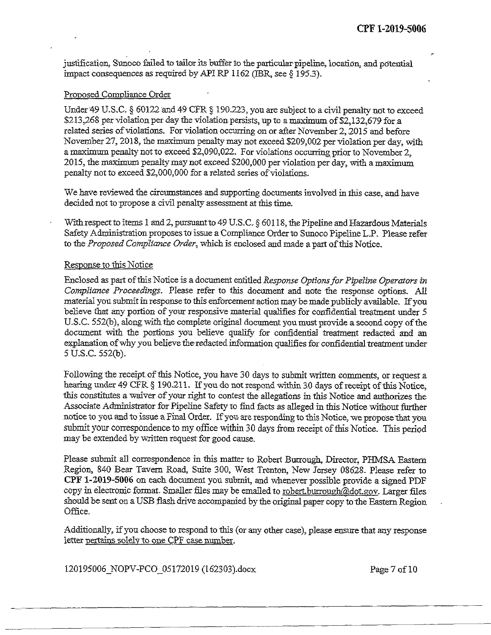justification, Sunoco failed to tailor its buffer to the particular pipeline, location, and potential impact consequences as required by API RP 1162 (IBR, see  $\S$  195.3).

### Proposed Compliance Order

Under 49 U.S.C.  $\S$  60122 and 49 CFR  $\S$  190.223, you are subject to a civil penalty not to exceed \$213,268 per violation per day the violation persists, up to a maximum of \$2,132,679 for a related series of violations. For violation occurring on or after November 2, 2015 and before November27, 2018, the maximum penalty may not exceed \$209,002 perviolation per day, with a maximum penalty not to exceed \$2,090,022. For violations occurring prior to November 2. 2015, themaximum penaltymay not exceed \$200,000 per violation per day, with amaximum penalty not to exceed \$2,000,000 for a related series of violations.

We have reviewed the circumstances and supporting documents involved in this case, and havs decided not to propose a civil penalty assessment at this time.

With respect to items 1 and 2, pursuant to 49 U.S.C. § 60118, the Pipeline and Hazardous Materials Safety Administration proposes to issue a Compliance Order to Sunoco Pipeline L.P. Please refer to the*Proposed Compliance Order,* which is enclosed and made apart ofthis Notice.

### Response to this Notice

Enclosed as part ofthis Notice is a document entitled*Response OptionsforPipeline Operatorstn Compliance Proceedings.* Please refer to this document and note the response options. All material you submit in response to this enforcement action may be made publicly available. If you believe that any portion of your responsive material qualifies for confidential treatment under 5 U.S.C. 552(b), along with the complete original document you must provide a second copy of the document with the portions you believe qualify for confidential treatment redacted and an explanation of why you believe the redacted information qualifies for confidential treatment under 5 U.S.C. 552(b).

Following the receipt of this Notice, you have 30 days to submit written comments, or request a hearing under 49 CFR § 190.211. If you do not respond within 30 days of receipt of this Notice, this constitutes a waiver of your right to contest the allegations in this Notice and authorizes the Associate Administrator for Pipeline Safety to find facts as alleged in this Notice without further notice to you and to issue a Final Order. If you are responding to this Notice, we propose that you submit your correspondence to my office within 30 days from receipt of this Notice. This period may be extended by written request for good cause.

Please submit all correspondence in this matter to Robert Burrough, Director, PHMSA Eastern Region, 840 Bear Tavern Road, Suite 300, West Trenton, New Jersey 08628. Please refer to **CPF 1-2019-5006** on each document you submit, and whenever possible provide a signed PDF copy in electronic format. Smaller files may be emailed to robert.burroush@dot.gov. Larger files should be sent on a USB flash drive accompanied by the original paper copy to the Eastern Region Office.

Additionally, ifyou choose to respond to this (or any other case), please ensure that any response letter pertains solely to one CPF case number.

120195006 NOPV-PCO 05172019 (162303).docx Page 7 of 10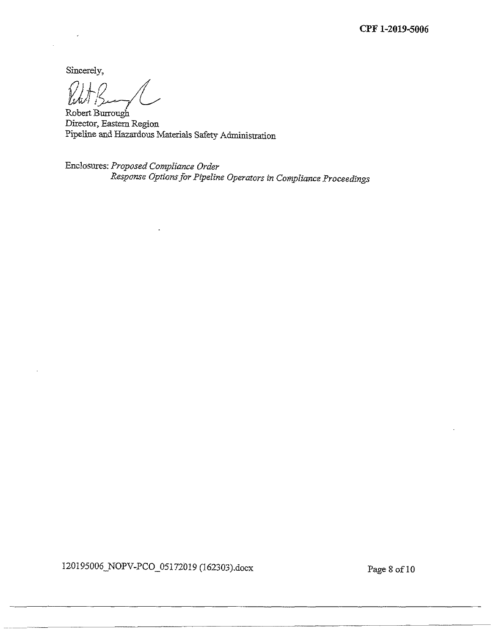**CPF 1-2019-5006**

Sincerely,

Robert Burrough Director, Eastern Region Pipeline and Hazardous Materials Safety Administration

Enclosures: *ProposedCompliance Order Response OptionsforPipeline Operators in ComplianceProceedings*

120195006\_NOPV-PCO\_05172019 (162303).docx Page 8 of 10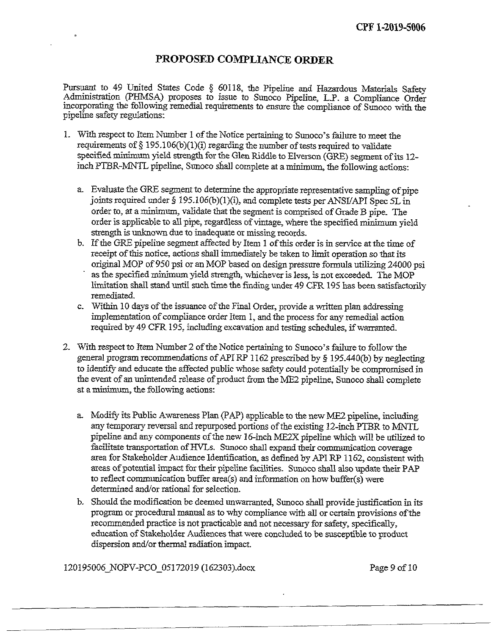## **PROPOSED COMPLIANCE ORDER**

Pursuant to 49 United States Code § 60118, the Pipeline and Hazardous Materials Safety Administration (PHMSA) proposes to issue to Sunoco Pipeline, L.P. a Compliance Order incorporating the following remedial requirements to ensure the compliance of Sunoco with the pipeline safety regulations:

- 1. With respect to Item Number 1 of the Notice pertaining to Sunoco's failure to meet the requirements of  $\S 195.106(b)(1)(i)$  regarding the number of tests required to validate specified minimum yield strength for the Glen Riddle to Elverson (GRE) segment of its 12inch PTBR-MNTL pipeline, Sunoco shall complete at a minimum, the following actions:
	- a. Evaluate the GRE segment to determine the appropriate representative sampling of pipe joints required under § 195.106(b)(1)(i), and complete tests per ANSI/API Spec 5L in order to, at a minimum, validate that the segment is comprised of Grade B pipe. The order is applicable to all pipe, regardless of vintage, where the specified minimum yield strength is unknown due to inadequate or missing records.
	- b. Ifthe GRE pipeline segment affected by Item <sup>1</sup> ofthis order is in service atthe time of receipt of this notice, actions shall immediately be taken to limit operation so that its original MOP of950 psi or an MOP based on design pressure formula utilizing 24000 psi as the specified minimum yield strength, whicheverisless, is not exceeded. The MOP limitation shall stand until such time the finding under 49 CFR195 has been satisfactorily remediated.
	- c. Within 10 days of the issuance of the Final Order, provide a written plan addressing implementation of compliance order Item 1, and the process for any remedial action required by 49 CFR 195, including excavation and testing schedules, ifwarranted.
- 2. With respect to Item Number 2 of the Notice pertaining to Sunoco's failure to follow the general program recommendations of API RP 1162 prescribed by  $\S$  195.440(b) by neglecting to identify and educate the affected public whose safety could potentially be compromised in the event of an unintended release of product from the ME2 pipeline, Sunoco shall complete at aminimum, the following actions:
	- a. Modify its Public Awareness Plan (PAP) applicable to the newME2 pipeline, including any temporary reversal and repurposed portions of the existing 12-inch PTBR to MNTL pipeline and any components of the new 16-inch ME2X pipeline which will be utilized to facilitate transportation of HVLs. Sunoco shall expand their communication coverage area for Stakeholder Audience Identification, as defined by API RP 1162, consistent with areas of potential impact for their pipeline facilities. Sunoco shall also update their PAP to reflect communication buffer area(s) and information on how buffer(s) were determined and/or rational for selection.
	- b. Should the modification be deemed unwarranted, Sunoco shall provide justification in its program or procedural manual as to why compliance with all or certain provisions ofthe recommended practice is not practicable and not necessary for safety, specifically, education of Stakeholder Audiences that were concluded to be susceptible to product dispersion and/or thermal radiation impact.

120195006 NOPV-PCO 05172019 (162303).docx Page 9 of 10